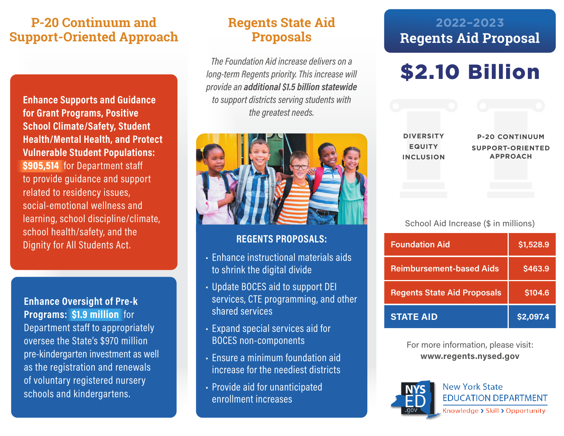## **P-20 Continuum and Regents State Aid Support-Oriented Approach Proposals**

Enhance Supports and Guidance<br>for Grant Programs, Positive<br>School Climate/Safety, Student<br>Health/Mental Health, and Protec<br>Vulnerable Student Populations:<br>\$905,514 for Department staff<br>to provide guidance and support<br>relat **for Grant Programs, Positive School Climate/Safety, Student Health/Mental Health, and Protect Vulnerable Student Populations: \$905,514** for Department staff to provide guidance and support related to residency issues, social-emotional wellness and learning, school discipline/climate, school health/safety, and the Dignity for All Students Act. **REGENTS PROPOSALS:** 

### **Enhance Oversight of Pre-k Programs: \$1.9 million** for

Department staff to appropriately oversee the State's \$970 million pre-kindergarten investment as well as the registration and renewals of voluntary registered nursery

*The Foundation Aid increase delivers on a long-term Regents priority. This increase will provide an additional \$1.5 billion statewide to support districts serving students with the greatest needs.*



- Enhance instructional materials aids to shrink the digital divide
- Update BOCES aid to support DEI services, CTE programming, and other shared services
- Expand special services aid for BOCES non-components
- Ensure a minimum foundation aid increase for the neediest districts
- Provide aid for unanticipated enrollment increases

## **2022–2023 Regents Aid Proposal**

# \$2.10 Billion

| <b>DIVERSITY</b> | <b>P-20 CONTINUUM</b>   |
|------------------|-------------------------|
| <b>EQUITY</b>    | <b>SUPPORT-ORIENTED</b> |
| <b>INCLUSION</b> | <b>APPROACH</b>         |
|                  |                         |
|                  |                         |
|                  |                         |

## School Aid Increase (\$ in millions)

| <b>Foundation Aid</b>              | \$1,528.9      |
|------------------------------------|----------------|
| <b>Reimbursement-based Aids</b>    | <b>\$463.9</b> |
| <b>Regents State Aid Proposals</b> | \$104.6        |
| <b>STATE AID</b>                   | \$2,097.4      |

For more information, please visit: **www.regents.nysed.gov**